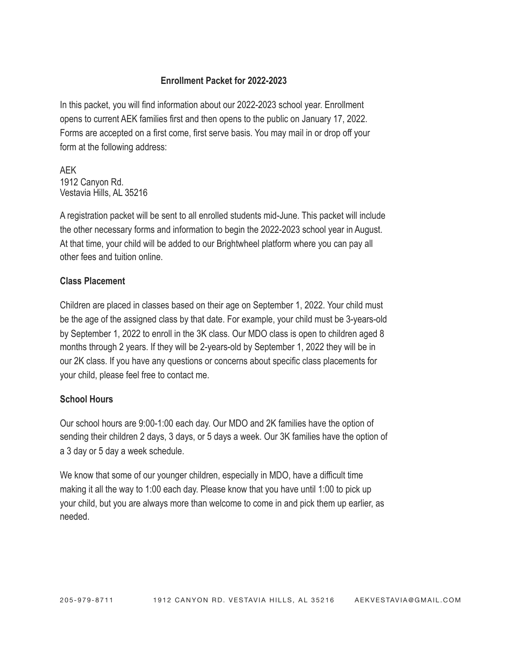## **Enrollment Packet for 2022-2023**

In this packet, you will find information about our 2022-2023 school year. Enrollment opens to current AEK families first and then opens to the public on January 17, 2022. Forms are accepted on a first come, first serve basis. You may mail in or drop off your form at the following address:

AEK 1912 Canyon Rd. Vestavia Hills, AL 35216

A registration packet will be sent to all enrolled students mid-June. This packet will include the other necessary forms and information to begin the 2022-2023 school year in August. At that time, your child will be added to our Brightwheel platform where you can pay all other fees and tuition online.

# **Class Placement**

Children are placed in classes based on their age on September 1, 2022. Your child must be the age of the assigned class by that date. For example, your child must be 3-years-old by September 1, 2022 to enroll in the 3K class. Our MDO class is open to children aged 8 months through 2 years. If they will be 2-years-old by September 1, 2022 they will be in our 2K class. If you have any questions or concerns about specific class placements for your child, please feel free to contact me.

## **School Hours**

Our school hours are 9:00-1:00 each day. Our MDO and 2K families have the option of sending their children 2 days, 3 days, or 5 days a week. Our 3K families have the option of a 3 day or 5 day a week schedule.

We know that some of our younger children, especially in MDO, have a difficult time making it all the way to 1:00 each day. Please know that you have until 1:00 to pick up your child, but you are always more than welcome to come in and pick them up earlier, as needed.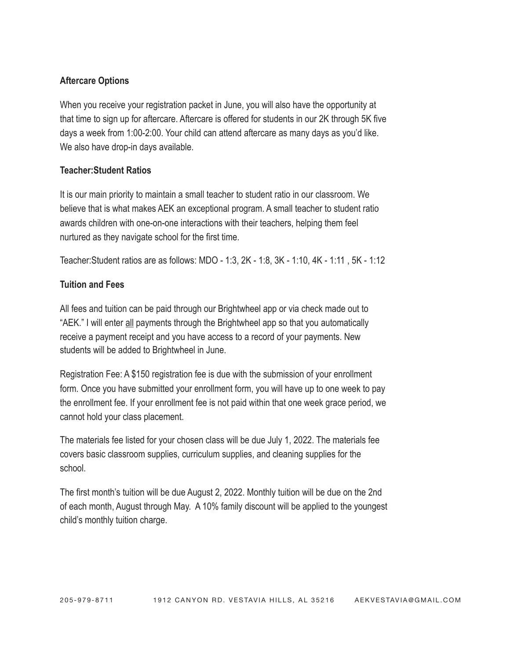## **Aftercare Options**

When you receive your registration packet in June, you will also have the opportunity at that time to sign up for aftercare. Aftercare is offered for students in our 2K through 5K five days a week from 1:00-2:00. Your child can attend aftercare as many days as you'd like. We also have drop-in days available.

## **Teacher:Student Ratios**

It is our main priority to maintain a small teacher to student ratio in our classroom. We believe that is what makes AEK an exceptional program. A small teacher to student ratio awards children with one-on-one interactions with their teachers, helping them feel nurtured as they navigate school for the first time.

Teacher:Student ratios are as follows: MDO - 1:3, 2K - 1:8, 3K - 1:10, 4K - 1:11 , 5K - 1:12

## **Tuition and Fees**

All fees and tuition can be paid through our Brightwheel app or via check made out to "AEK." I will enter all payments through the Brightwheel app so that you automatically receive a payment receipt and you have access to a record of your payments. New students will be added to Brightwheel in June.

Registration Fee: A \$150 registration fee is due with the submission of your enrollment form. Once you have submitted your enrollment form, you will have up to one week to pay the enrollment fee. If your enrollment fee is not paid within that one week grace period, we cannot hold your class placement.

The materials fee listed for your chosen class will be due July 1, 2022. The materials fee covers basic classroom supplies, curriculum supplies, and cleaning supplies for the school.

The first month's tuition will be due August 2, 2022. Monthly tuition will be due on the 2nd of each month, August through May. A 10% family discount will be applied to the youngest child's monthly tuition charge.